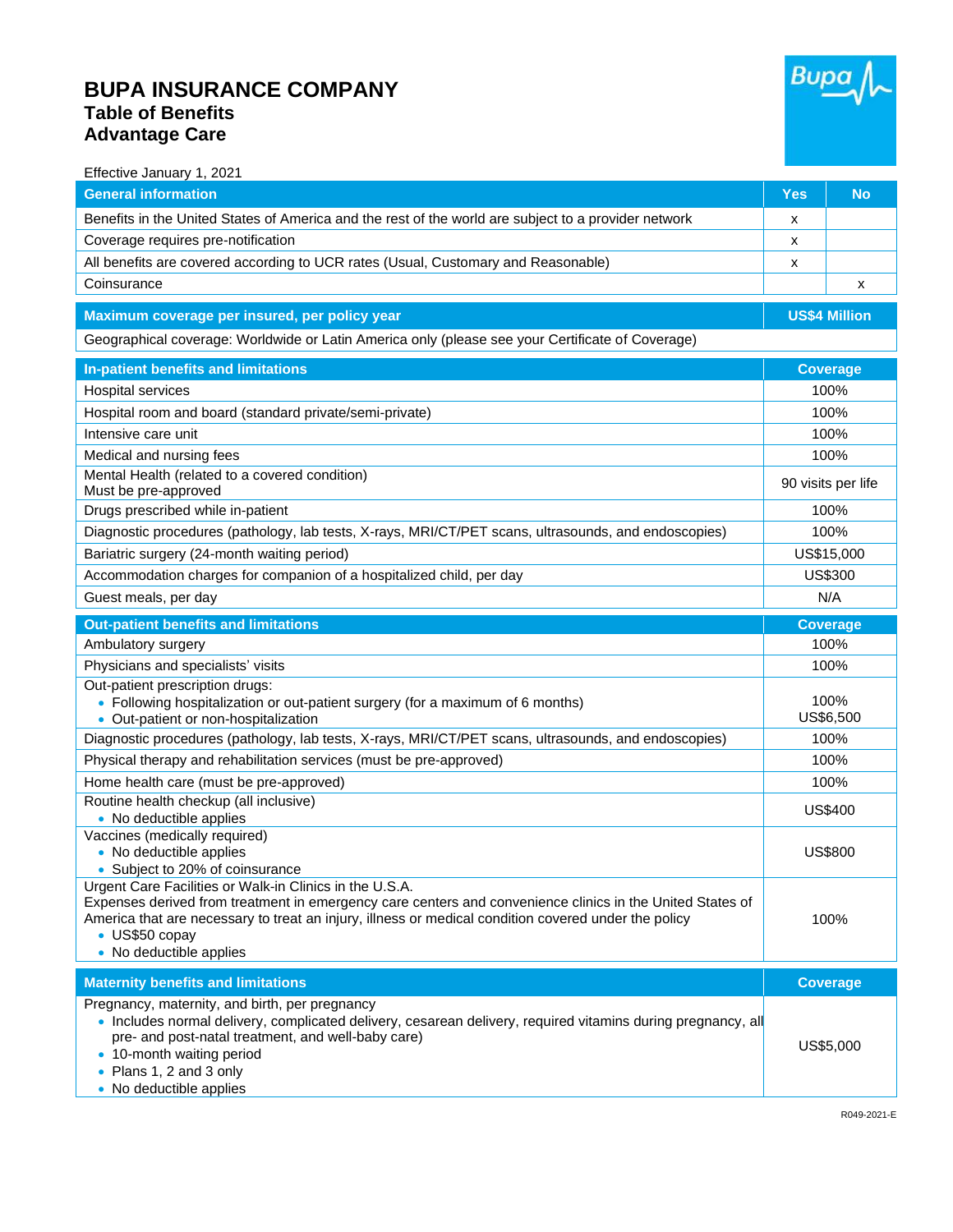## **BUPA INSURANCE COMPANY Table of Benefits Advantage Care**



| Effective January 1, 2021                                                                                                                                          |                    |                      |  |
|--------------------------------------------------------------------------------------------------------------------------------------------------------------------|--------------------|----------------------|--|
| <b>General information</b>                                                                                                                                         | <b>Yes</b>         | <b>No</b>            |  |
| Benefits in the United States of America and the rest of the world are subject to a provider network                                                               | х                  |                      |  |
| Coverage requires pre-notification                                                                                                                                 | x                  |                      |  |
| All benefits are covered according to UCR rates (Usual, Customary and Reasonable)                                                                                  | х                  |                      |  |
| Coinsurance                                                                                                                                                        |                    | X                    |  |
| Maximum coverage per insured, per policy year                                                                                                                      |                    | <b>US\$4 Million</b> |  |
| Geographical coverage: Worldwide or Latin America only (please see your Certificate of Coverage)                                                                   |                    |                      |  |
|                                                                                                                                                                    |                    |                      |  |
| In-patient benefits and limitations                                                                                                                                | <b>Coverage</b>    |                      |  |
| Hospital services                                                                                                                                                  | 100%               |                      |  |
| Hospital room and board (standard private/semi-private)                                                                                                            | 100%               |                      |  |
| Intensive care unit                                                                                                                                                | 100%               |                      |  |
| Medical and nursing fees                                                                                                                                           | 100%               |                      |  |
| Mental Health (related to a covered condition)<br>Must be pre-approved                                                                                             | 90 visits per life |                      |  |
| Drugs prescribed while in-patient                                                                                                                                  | 100%               |                      |  |
| Diagnostic procedures (pathology, lab tests, X-rays, MRI/CT/PET scans, ultrasounds, and endoscopies)                                                               | 100%               |                      |  |
| Bariatric surgery (24-month waiting period)                                                                                                                        | US\$15,000         |                      |  |
| Accommodation charges for companion of a hospitalized child, per day                                                                                               | US\$300            |                      |  |
| Guest meals, per day                                                                                                                                               | N/A                |                      |  |
| <b>Out-patient benefits and limitations</b>                                                                                                                        |                    | <b>Coverage</b>      |  |
| Ambulatory surgery                                                                                                                                                 |                    | 100%                 |  |
| Physicians and specialists' visits                                                                                                                                 | 100%               |                      |  |
| Out-patient prescription drugs:                                                                                                                                    |                    |                      |  |
| • Following hospitalization or out-patient surgery (for a maximum of 6 months)                                                                                     | 100%               |                      |  |
| • Out-patient or non-hospitalization                                                                                                                               | US\$6,500          |                      |  |
| Diagnostic procedures (pathology, lab tests, X-rays, MRI/CT/PET scans, ultrasounds, and endoscopies)                                                               | 100%               |                      |  |
| Physical therapy and rehabilitation services (must be pre-approved)                                                                                                | 100%               |                      |  |
| Home health care (must be pre-approved)                                                                                                                            | 100%               |                      |  |
| Routine health checkup (all inclusive)<br>• No deductible applies                                                                                                  | <b>US\$400</b>     |                      |  |
| Vaccines (medically required)                                                                                                                                      |                    |                      |  |
| • No deductible applies                                                                                                                                            |                    | <b>US\$800</b>       |  |
| • Subject to 20% of coinsurance<br>Urgent Care Facilities or Walk-in Clinics in the U.S.A.                                                                         |                    |                      |  |
| Expenses derived from treatment in emergency care centers and convenience clinics in the United States of                                                          |                    |                      |  |
| America that are necessary to treat an injury, illness or medical condition covered under the policy                                                               |                    | 100%                 |  |
| • US\$50 copay<br>• No deductible applies                                                                                                                          |                    |                      |  |
|                                                                                                                                                                    |                    |                      |  |
| <b>Maternity benefits and limitations</b>                                                                                                                          |                    | <b>Coverage</b>      |  |
| Pregnancy, maternity, and birth, per pregnancy                                                                                                                     |                    |                      |  |
| · Includes normal delivery, complicated delivery, cesarean delivery, required vitamins during pregnancy, all<br>pre- and post-natal treatment, and well-baby care) |                    |                      |  |
| • 10-month waiting period                                                                                                                                          |                    | US\$5,000            |  |
| • Plans 1, 2 and 3 only                                                                                                                                            |                    |                      |  |
| • No deductible applies                                                                                                                                            |                    |                      |  |